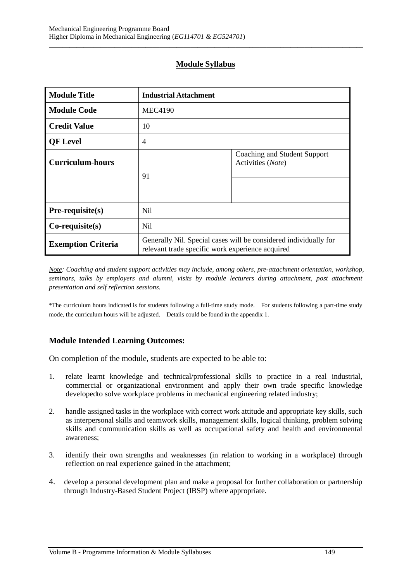# **Module Syllabus**

\_\_\_\_\_\_\_\_\_\_\_\_\_\_\_\_\_\_\_\_\_\_\_\_\_\_\_\_\_\_\_\_\_\_\_\_\_\_\_\_\_\_\_\_\_\_\_\_\_\_\_\_\_\_\_\_\_\_\_\_\_\_\_\_\_\_\_\_\_\_\_\_\_\_\_\_\_\_\_\_\_\_\_\_\_\_\_\_\_\_\_

| <b>Module Title</b>       | <b>Industrial Attachment</b>                                                                                         |                                                   |  |
|---------------------------|----------------------------------------------------------------------------------------------------------------------|---------------------------------------------------|--|
| <b>Module Code</b>        | <b>MEC4190</b>                                                                                                       |                                                   |  |
| <b>Credit Value</b>       | 10                                                                                                                   |                                                   |  |
| <b>QF</b> Level           | $\overline{4}$                                                                                                       |                                                   |  |
| <b>Curriculum-hours</b>   | 91                                                                                                                   | Coaching and Student Support<br>Activities (Note) |  |
| $Pre-requisite(s)$        | N <sub>il</sub>                                                                                                      |                                                   |  |
| $Co$ -requisite $(s)$     | Nil.                                                                                                                 |                                                   |  |
| <b>Exemption Criteria</b> | Generally Nil. Special cases will be considered individually for<br>relevant trade specific work experience acquired |                                                   |  |

*Note: Coaching and student support activities may include, among others, pre-attachment orientation, workshop, seminars, talks by employers and alumni, visits by module lecturers during attachment, post attachment presentation and self reflection sessions.* 

\*The curriculum hours indicated is for students following a full-time study mode. For students following a part-time study mode, the curriculum hours will be adjusted. Details could be found in the appendix 1.

# **Module Intended Learning Outcomes:**

On completion of the module, students are expected to be able to:

- 1. relate learnt knowledge and technical/professional skills to practice in a real industrial, commercial or organizational environment and apply their own trade specific knowledge developedto solve workplace problems in mechanical engineering related industry;
- 2. handle assigned tasks in the workplace with correct work attitude and appropriate key skills, such as interpersonal skills and teamwork skills, management skills, logical thinking, problem solving skills and communication skills as well as occupational safety and health and environmental awareness;
- 3. identify their own strengths and weaknesses (in relation to working in a workplace) through reflection on real experience gained in the attachment;
- 4. develop a personal development plan and make a proposal for further collaboration or partnership through Industry-Based Student Project (IBSP) where appropriate.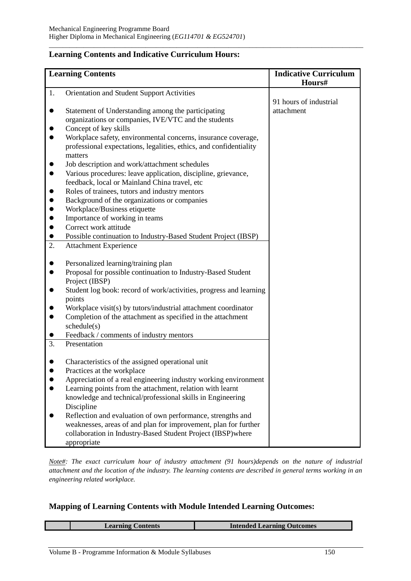#### **Learning Contents and Indicative Curriculum Hours:**

|           | <b>Learning Contents</b>                                           | <b>Indicative Curriculum</b> |
|-----------|--------------------------------------------------------------------|------------------------------|
|           |                                                                    | Hours#                       |
| 1.        | <b>Orientation and Student Support Activities</b>                  |                              |
|           |                                                                    | 91 hours of industrial       |
| $\bullet$ | Statement of Understanding among the participating                 | attachment                   |
|           | organizations or companies, IVE/VTC and the students               |                              |
|           | Concept of key skills                                              |                              |
|           | Workplace safety, environmental concerns, insurance coverage,      |                              |
|           | professional expectations, legalities, ethics, and confidentiality |                              |
|           | matters                                                            |                              |
| $\bullet$ | Job description and work/attachment schedules                      |                              |
| $\bullet$ | Various procedures: leave application, discipline, grievance,      |                              |
|           | feedback, local or Mainland China travel, etc                      |                              |
| $\bullet$ | Roles of trainees, tutors and industry mentors                     |                              |
| $\bullet$ | Background of the organizations or companies                       |                              |
| $\bullet$ | Workplace/Business etiquette                                       |                              |
| $\bullet$ | Importance of working in teams                                     |                              |
| $\bullet$ | Correct work attitude                                              |                              |
| $\bullet$ | Possible continuation to Industry-Based Student Project (IBSP)     |                              |
| 2.        | <b>Attachment Experience</b>                                       |                              |
|           |                                                                    |                              |
| $\bullet$ | Personalized learning/training plan                                |                              |
| $\bullet$ | Proposal for possible continuation to Industry-Based Student       |                              |
|           | Project (IBSP)                                                     |                              |
| $\bullet$ | Student log book: record of work/activities, progress and learning |                              |
|           | points                                                             |                              |
| $\bullet$ | Workplace visit(s) by tutors/industrial attachment coordinator     |                              |
| $\bullet$ | Completion of the attachment as specified in the attachment        |                              |
|           | $s$ chedule $(s)$                                                  |                              |
| $\bullet$ | Feedback / comments of industry mentors                            |                              |
| 3.        | Presentation                                                       |                              |
|           |                                                                    |                              |
|           | Characteristics of the assigned operational unit                   |                              |
| $\bullet$ | Practices at the workplace                                         |                              |
|           | Appreciation of a real engineering industry working environment    |                              |
|           | Learning points from the attachment, relation with learnt          |                              |
|           | knowledge and technical/professional skills in Engineering         |                              |
|           | Discipline                                                         |                              |
|           | Reflection and evaluation of own performance, strengths and        |                              |
|           | weaknesses, areas of and plan for improvement, plan for further    |                              |
|           | collaboration in Industry-Based Student Project (IBSP)where        |                              |
|           | appropriate                                                        |                              |

\_\_\_\_\_\_\_\_\_\_\_\_\_\_\_\_\_\_\_\_\_\_\_\_\_\_\_\_\_\_\_\_\_\_\_\_\_\_\_\_\_\_\_\_\_\_\_\_\_\_\_\_\_\_\_\_\_\_\_\_\_\_\_\_\_\_\_\_\_\_\_\_\_\_\_\_\_\_\_\_\_\_\_\_\_\_\_\_\_\_\_

*Note#: The exact curriculum hour of industry attachment (91 hours)depends on the nature of industrial attachment and the location of the industry. The learning contents are described in general terms working in an engineering related workplace.* 

#### **Mapping of Learning Contents with Module Intended Learning Outcomes:**

| <b>Learning Contents</b> | <b>Intended Learning Outcomes</b> |
|--------------------------|-----------------------------------|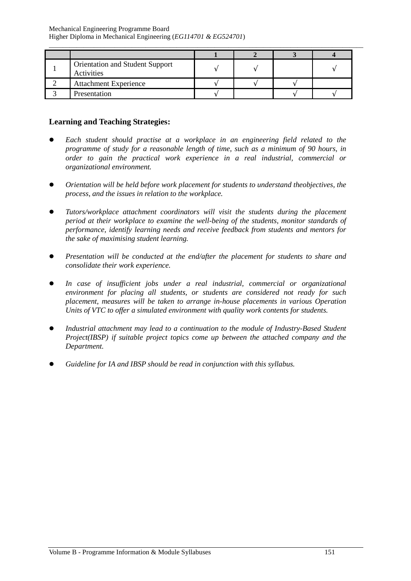| <b>Orientation and Student Support</b><br>Activities |  |  |
|------------------------------------------------------|--|--|
| <b>Attachment Experience</b>                         |  |  |
| Presentation                                         |  |  |

\_\_\_\_\_\_\_\_\_\_\_\_\_\_\_\_\_\_\_\_\_\_\_\_\_\_\_\_\_\_\_\_\_\_\_\_\_\_\_\_\_\_\_\_\_\_\_\_\_\_\_\_\_\_\_\_\_\_\_\_\_\_\_\_\_\_\_\_\_\_\_\_\_\_\_\_\_\_\_\_\_\_\_\_\_\_\_\_\_\_\_

# **Learning and Teaching Strategies:**

- *Each student should practise at a workplace in an engineering field related to the programme of study for a reasonable length of time, such as a minimum of 90 hours, in order to gain the practical work experience in a real industrial, commercial or organizational environment.*
- *Orientation will be held before work placement for students to understand theobjectives, the process, and the issues in relation to the workplace.*
- *Tutors/workplace attachment coordinators will visit the students during the placement period at their workplace to examine the well-being of the students, monitor standards of performance, identify learning needs and receive feedback from students and mentors for the sake of maximising student learning.*
- *Presentation will be conducted at the end/after the placement for students to share and consolidate their work experience.*
- *In case of insufficient jobs under a real industrial, commercial or organizational environment for placing all students, or students are considered not ready for such placement, measures will be taken to arrange in-house placements in various Operation Units of VTC to offer a simulated environment with quality work contents for students.*
- *Industrial attachment may lead to a continuation to the module of Industry-Based Student Project(IBSP) if suitable project topics come up between the attached company and the Department.*
- *Guideline for IA and IBSP should be read in conjunction with this syllabus.*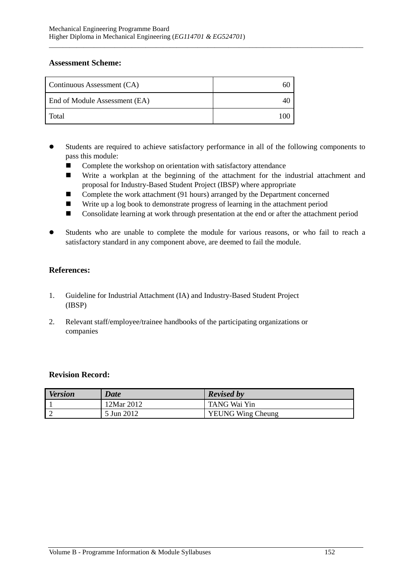### **Assessment Scheme:**

| Continuous Assessment (CA)    |  |
|-------------------------------|--|
| End of Module Assessment (EA) |  |
| Total                         |  |

 Students are required to achieve satisfactory performance in all of the following components to pass this module:

\_\_\_\_\_\_\_\_\_\_\_\_\_\_\_\_\_\_\_\_\_\_\_\_\_\_\_\_\_\_\_\_\_\_\_\_\_\_\_\_\_\_\_\_\_\_\_\_\_\_\_\_\_\_\_\_\_\_\_\_\_\_\_\_\_\_\_\_\_\_\_\_\_\_\_\_\_\_\_\_\_\_\_\_\_\_\_\_\_\_\_

- -Complete the workshop on orientation with satisfactory attendance
- - Write a workplan at the beginning of the attachment for the industrial attachment and proposal for Industry-Based Student Project (IBSP) where appropriate
- -Complete the work attachment (91 hours) arranged by the Department concerned
- -Write up a log book to demonstrate progress of learning in the attachment period
- -Consolidate learning at work through presentation at the end or after the attachment period
- Students who are unable to complete the module for various reasons, or who fail to reach a satisfactory standard in any component above, are deemed to fail the module.

## **References:**

- 1. Guideline for Industrial Attachment (IA) and Industry-Based Student Project (IBSP)
- 2. Relevant staff/employee/trainee handbooks of the participating organizations or companies

## **Revision Record:**

| <b>Version</b> | <b>Date</b> | <b>Revised by</b>        |
|----------------|-------------|--------------------------|
|                | 12Mar 2012  | TANG Wai Yin             |
|                | 5 Jun 2012  | <b>YEUNG Wing Cheung</b> |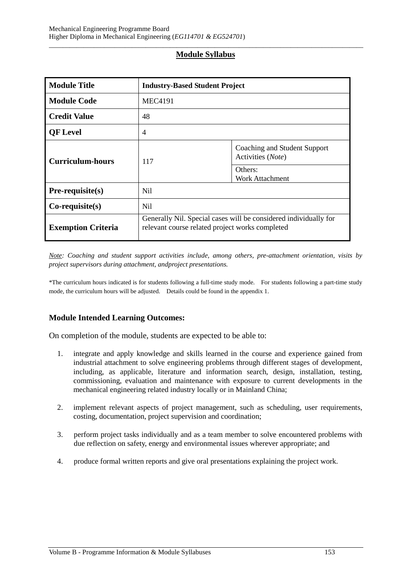#### \_\_\_\_\_\_\_\_\_\_\_\_\_\_\_\_\_\_\_\_\_\_\_\_\_\_\_\_\_\_\_\_\_\_\_\_\_\_\_\_\_\_\_\_\_\_\_\_\_\_\_\_\_\_\_\_\_\_\_\_\_\_\_\_\_\_\_\_\_\_\_\_\_\_\_\_\_\_\_\_\_\_\_\_\_\_\_\_\_\_\_ **Module Syllabus**

| <b>Module Title</b>       | <b>Industry-Based Student Project</b>                                                                               |                                                              |  |
|---------------------------|---------------------------------------------------------------------------------------------------------------------|--------------------------------------------------------------|--|
| <b>Module Code</b>        | <b>MEC4191</b>                                                                                                      |                                                              |  |
| <b>Credit Value</b>       | 48                                                                                                                  |                                                              |  |
| <b>QF</b> Level           | $\overline{4}$                                                                                                      |                                                              |  |
| <b>Curriculum-hours</b>   | 117                                                                                                                 | Coaching and Student Support<br>Activities (Note)<br>Others: |  |
|                           |                                                                                                                     | Work Attachment                                              |  |
| $Pre-requiste(s)$         | N <sub>il</sub>                                                                                                     |                                                              |  |
| $Co$ -requisite $(s)$     | N <sub>il</sub>                                                                                                     |                                                              |  |
| <b>Exemption Criteria</b> | Generally Nil. Special cases will be considered individually for<br>relevant course related project works completed |                                                              |  |

*Note: Coaching and student support activities include, among others, pre-attachment orientation, visits by project supervisors during attachment, andproject presentations.* 

\*The curriculum hours indicated is for students following a full-time study mode. For students following a part-time study mode, the curriculum hours will be adjusted. Details could be found in the appendix 1.

#### **Module Intended Learning Outcomes:**

On completion of the module, students are expected to be able to:

- 1. integrate and apply knowledge and skills learned in the course and experience gained from industrial attachment to solve engineering problems through different stages of development, including, as applicable, literature and information search, design, installation, testing, commissioning, evaluation and maintenance with exposure to current developments in the mechanical engineering related industry locally or in Mainland China;
- 2. implement relevant aspects of project management, such as scheduling, user requirements, costing, documentation, project supervision and coordination;
- 3. perform project tasks individually and as a team member to solve encountered problems with due reflection on safety, energy and environmental issues wherever appropriate; and
- 4. produce formal written reports and give oral presentations explaining the project work.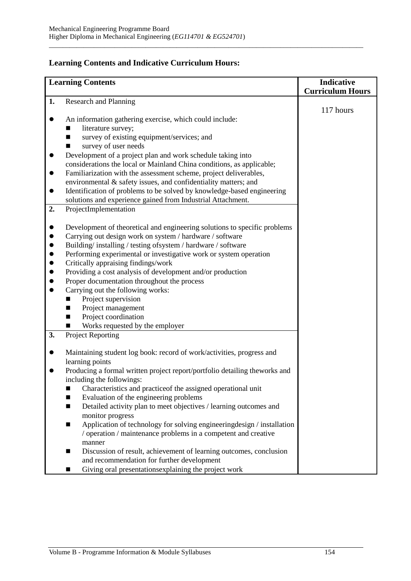# **Learning Contents and Indicative Curriculum Hours:**

| <b>Curriculum Hours</b> |
|-------------------------|
|                         |
| 117 hours               |
|                         |
|                         |
|                         |
|                         |
|                         |
|                         |
|                         |
|                         |
|                         |
|                         |
|                         |
|                         |
|                         |
|                         |
|                         |
|                         |
|                         |
|                         |
|                         |
|                         |
|                         |
|                         |
|                         |
|                         |
|                         |
|                         |
|                         |
|                         |
|                         |
|                         |
|                         |
|                         |
|                         |
|                         |
|                         |
|                         |
|                         |
|                         |
|                         |
|                         |
|                         |

\_\_\_\_\_\_\_\_\_\_\_\_\_\_\_\_\_\_\_\_\_\_\_\_\_\_\_\_\_\_\_\_\_\_\_\_\_\_\_\_\_\_\_\_\_\_\_\_\_\_\_\_\_\_\_\_\_\_\_\_\_\_\_\_\_\_\_\_\_\_\_\_\_\_\_\_\_\_\_\_\_\_\_\_\_\_\_\_\_\_\_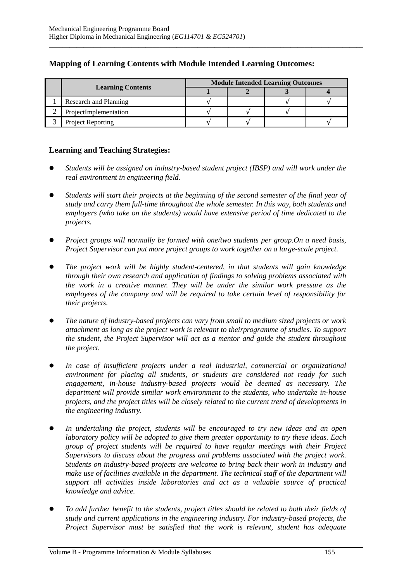|                          | <b>Module Intended Learning Outcomes</b> |  |  |  |
|--------------------------|------------------------------------------|--|--|--|
| <b>Learning Contents</b> |                                          |  |  |  |
| Research and Planning    |                                          |  |  |  |
| ProjectImplementation    |                                          |  |  |  |
| <b>Project Reporting</b> |                                          |  |  |  |

\_\_\_\_\_\_\_\_\_\_\_\_\_\_\_\_\_\_\_\_\_\_\_\_\_\_\_\_\_\_\_\_\_\_\_\_\_\_\_\_\_\_\_\_\_\_\_\_\_\_\_\_\_\_\_\_\_\_\_\_\_\_\_\_\_\_\_\_\_\_\_\_\_\_\_\_\_\_\_\_\_\_\_\_\_\_\_\_\_\_\_

# **Mapping of Learning Contents with Module Intended Learning Outcomes:**

# **Learning and Teaching Strategies:**

- *Students will be assigned on industry-based student project (IBSP) and will work under the real environment in engineering field.*
- *Students will start their projects at the beginning of the second semester of the final year of study and carry them full-time throughout the whole semester. In this way, both students and employers (who take on the students) would have extensive period of time dedicated to the projects.*
- *Project groups will normally be formed with one/two students per group.On a need basis, Project Supervisor can put more project groups to work together on a large-scale project.*
- *The project work will be highly student-centered, in that students will gain knowledge through their own research and application of findings to solving problems associated with the work in a creative manner. They will be under the similar work pressure as the employees of the company and will be required to take certain level of responsibility for their projects.*
- *The nature of industry-based projects can vary from small to medium sized projects or work attachment as long as the project work is relevant to theirprogramme of studies. To support the student, the Project Supervisor will act as a mentor and guide the student throughout the project.*
- *In case of insufficient projects under a real industrial, commercial or organizational environment for placing all students, or students are considered not ready for such engagement, in-house industry-based projects would be deemed as necessary. The department will provide similar work environment to the students, who undertake in-house projects, and the project titles will be closely related to the current trend of developments in the engineering industry.*
- *In undertaking the project, students will be encouraged to try new ideas and an open laboratory policy will be adopted to give them greater opportunity to try these ideas. Each group of project students will be required to have regular meetings with their Project Supervisors to discuss about the progress and problems associated with the project work. Students on industry-based projects are welcome to bring back their work in industry and make use of facilities available in the department. The technical staff of the department will support all activities inside laboratories and act as a valuable source of practical knowledge and advice.*
- *To add further benefit to the students, project titles should be related to both their fields of study and current applications in the engineering industry. For industry-based projects, the Project Supervisor must be satisfied that the work is relevant, student has adequate*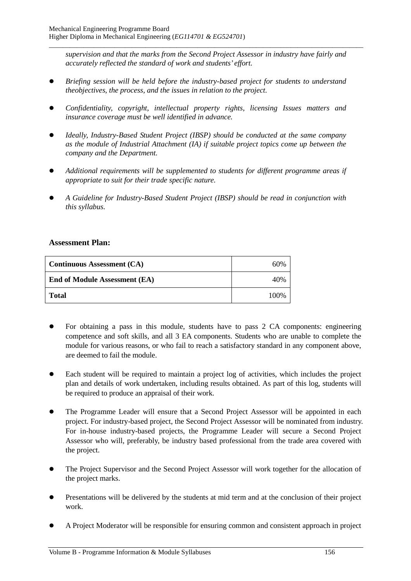*supervision and that the marks from the Second Project Assessor in industry have fairly and accurately reflected the standard of work and students' effort.* 

\_\_\_\_\_\_\_\_\_\_\_\_\_\_\_\_\_\_\_\_\_\_\_\_\_\_\_\_\_\_\_\_\_\_\_\_\_\_\_\_\_\_\_\_\_\_\_\_\_\_\_\_\_\_\_\_\_\_\_\_\_\_\_\_\_\_\_\_\_\_\_\_\_\_\_\_\_\_\_\_\_\_\_\_\_\_\_\_\_\_\_

- *Briefing session will be held before the industry-based project for students to understand theobjectives, the process, and the issues in relation to the project.*
- *Confidentiality, copyright, intellectual property rights, licensing Issues matters and insurance coverage must be well identified in advance.*
- *Ideally, Industry-Based Student Project (IBSP) should be conducted at the same company as the module of Industrial Attachment (IA) if suitable project topics come up between the company and the Department.*
- *Additional requirements will be supplemented to students for different programme areas if appropriate to suit for their trade specific nature.*
- *A Guideline for Industry-Based Student Project (IBSP) should be read in conjunction with this syllabus.*

## **Assessment Plan:**

| <b>Continuous Assessment (CA)</b>    | 60%  |
|--------------------------------------|------|
| <b>End of Module Assessment (EA)</b> | 40%  |
| Total                                | 100% |

- For obtaining a pass in this module, students have to pass 2 CA components: engineering competence and soft skills, and all 3 EA components. Students who are unable to complete the module for various reasons, or who fail to reach a satisfactory standard in any component above, are deemed to fail the module.
- Each student will be required to maintain a project log of activities, which includes the project plan and details of work undertaken, including results obtained. As part of this log, students will be required to produce an appraisal of their work.
- The Programme Leader will ensure that a Second Project Assessor will be appointed in each project. For industry-based project, the Second Project Assessor will be nominated from industry. For in-house industry-based projects, the Programme Leader will secure a Second Project Assessor who will, preferably, be industry based professional from the trade area covered with the project.
- The Project Supervisor and the Second Project Assessor will work together for the allocation of the project marks.
- Presentations will be delivered by the students at mid term and at the conclusion of their project work.
- A Project Moderator will be responsible for ensuring common and consistent approach in project